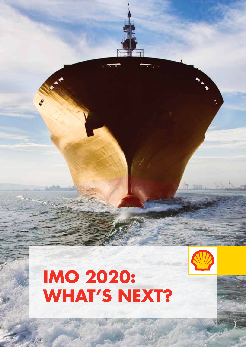

# **IMO 2020: What's next?**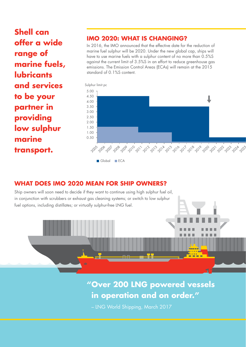**Shell can offer a wide range of marine fuels, lubricants and services to be your partner in providing low sulphur marine transport.**

#### **IMO 2020: what is changing?**

In 2016, the IMO announced that the effective date for the reduction of marine fuel sulphur will be 2020. Under the new global cap, ships will have to use marine fuels with a sulphur content of no more than 0.5%S against the current limit of 3.5%S in an effort to reduce greenhouse gas emissions. The Emission Control Areas (ECAs) will remain at the 2015 standard of 0.1%S content.



## **WHAT DOES IMO 2020 MEAN FOR SHIP OWNERS?**

Ship owners will soon need to decide if they want to continue using high sulphur fuel oil, in conjunction with scrubbers or exhaust gas cleaning systems; or switch to low sulphur fuel options, including distillates; or virtually sulphur-free LNG fuel. 5,000  $\overline{\phantom{a}}$ 6,000 3,000 ٠ 4,000 2,000 1,000 0 1990 2000 2010 2020 2030 1990 1995 2000 2005 2010 2015 2020 2025 2030 2035 Transport Own Use RFO: LS RFO: HS Gasoil/Diesel (Exd Bio Diesel)

## 6 **including Fishing and Domestic Barges in operation and on order."** mbd **Global Total Bunker Demand "Over 200 LNG powered vessels**

5 – LNG World Shipping, March 2017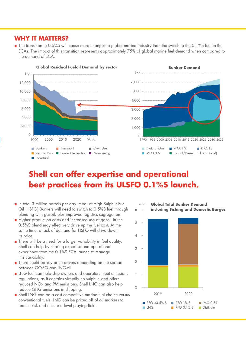# **WHY IT MATTERS?**

 $\blacksquare$  The transition to 0.5%S will cause more changes to global marine industry than the switch to the 0.1%S fuel in the International to serve this transition represents approximately 75% of global marine fuel demand when compared to ECAs. The impact of this transition represents approximately 75% of global marine fuel demand when compared the demand of ECA.  $\frac{1}{5}$ 

3.00



#### 6 **including Fishing and Domestic Barges** ResComPub can offer expertis 1990 2000 2010 2020 2030 Shell can offer expertise and operational Industrial best practices from its ULSFO 0.1%S launch. Own Use RFO: LS

- In total 3 million barrels per day (mbd) of High Sulphur Fuel Oil (HSFO) Bunkers will need to switch to 0.5%S fuel through blending with gasoil, plus improved logistics segregation.
- $\blacksquare$  Higher production costs and increased use of gasoil in the 0.5%S blend may effectively drive up the fuel cost. At the same time, a lack of demand for HSFO will drive down 2 its price.
- There will be a need for a larger variability in fuel quality. Shell can help by sharing expertise and operational experience from the 0.1%S ECA launch to manage this variability. exper
- There could be key price drivers depending on the spread between GO-FO and LNG-oil. arrvors acponaing on 1  $he$ Own Use RFO: LS
	- $\blacksquare$  LNG fuel can help ship owners and operators meet emissions regulations, as it contains virtually no sulphur, and offers reduced NOx and PM emissions. Shell LNG can also help reduce GHG emissions in shipping.
	- Shell LNG can be a cost competitive marine fuel choice versus conventional fuels. LNG can be priced off of oil markers to reduce risk and ensure a level playing field.

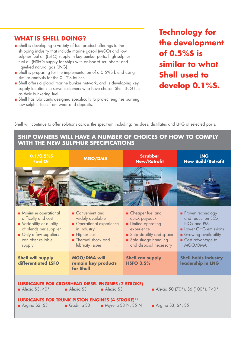#### **What is Shell doing?**

- Shell is developing a variety of fuel product offerings to the shipping industry that include marine gasoil (MGO) and low sulphur fuel oil (LSFO) supply in key bunker ports; high sulphur fuel oil (HSFO) supply for ships with on-board scrubbers; and liquefied natural gas (LNG).
- Shell is preparing for the implementation of a 0.5%S blend using similar analysis for the 0.1%S launch.
- Shell offers a global marine bunker network, and is developing key supply locations to serve customers who have chosen Shell LNG fuel as their bunkering fuel.
- Shell has lubricants designed specifically to protect engines burning low sulphur fuels from wear and deposits.

**Technology for the development of 0.5%S is similar to what Shell used to develop 0.1%S.**

Shell will continue to offer solutions across the spectrum including: residues, distillates and LNG at selected ports.

#### **Ship owners will have a number of choices of how to comply with the new Sulphur specifications**

| 0.1/0.5%<br><b>Fuel Oil</b>                                                                                                                                    | <b>MGO/DMA</b>                                                                                                                        | <b>Scrubber</b><br><b>New/Retrofit</b>                                                                                                                     | <b>LNG</b><br><b>New Build/Retrofit</b>                                                                                                          |
|----------------------------------------------------------------------------------------------------------------------------------------------------------------|---------------------------------------------------------------------------------------------------------------------------------------|------------------------------------------------------------------------------------------------------------------------------------------------------------|--------------------------------------------------------------------------------------------------------------------------------------------------|
|                                                                                                                                                                |                                                                                                                                       |                                                                                                                                                            |                                                                                                                                                  |
| <b>Minimise operational</b><br>difficulty and cost<br>Variability of quality<br>of blends per supplier<br>Only a few suppliers<br>can offer reliable<br>supply | ■ Convenient and<br>widely available<br>Operational experience<br>in industry<br>Higher cost<br>Thermal shock and<br>lubricity issues | Cheaper fuel and<br>quick payback<br><b>Elimited operating</b><br>experience<br>Ship stability and space<br>Safe sludge handling<br>and disposal necessary | Proven technology<br>and reduction SOx,<br>NO <sub>x</sub> and PM<br>Lower GHG emissions<br>Growing availability<br>Cost advantage to<br>MGO/DMA |
| <b>Shell will supply</b><br>differentiated LSFO                                                                                                                | <b>MGO/DMA will</b><br>remain key products<br>for Shell                                                                               | <b>Shell can supply</b><br><b>HSFO 3.5%</b>                                                                                                                | <b>Shell holds industry</b><br>leadership in LNG                                                                                                 |
| <b>LUBRICANTS FOR CROSSHEAD DIESEL ENGINES (2 STROKE)</b><br>Alexia S3<br>Alexia S3<br>Alexia S3, $40*$<br>Alexia 50 (70*), S6 (100*), 140*                    |                                                                                                                                       |                                                                                                                                                            |                                                                                                                                                  |
| <b>LUBRICANTS FOR TRUNK PISTON ENGINES (4 STROKE)**</b><br>Gadinia S3<br>Mysella S3 N, S5 N<br>Argina S2, S3<br>Argina S3, S4, S5                              |                                                                                                                                       |                                                                                                                                                            |                                                                                                                                                  |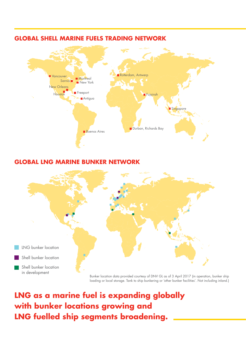

#### **Global Shell Marine Fuels Trading Network**

## **Global LNG Marine Bunker Network**



loading or local storage. Tank to ship bunkering or 'other bunker facilities'. Not including inland.)

**LNG as a marine fuel is expanding globally with bunker locations growing and LNG fuelled ship segments broadening.**